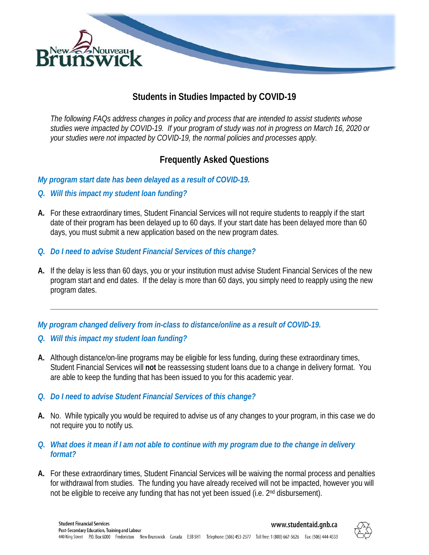

## **Students in Studies Impacted by COVID-19**

*The following FAQs address changes in policy and process that are intended to assist students whose studies were impacted by COVID-19. If your program of study was not in progress on March 16, 2020 or your studies were not impacted by COVID-19, the normal policies and processes apply.*

## **Frequently Asked Questions**

*My program start date has been delayed as a result of COVID-19.*

- *Q. Will this impact my student loan funding?*
- **A.** For these extraordinary times, Student Financial Services will not require students to reapply if the start date of their program has been delayed up to 60 days. If your start date has been delayed more than 60 days, you must submit a new application based on the new program dates.
- *Q. Do I need to advise Student Financial Services of this change?*
- **A.** If the delay is less than 60 days, you or your institution must advise Student Financial Services of the new program start and end dates. If the delay is more than 60 days, you simply need to reapply using the new program dates.

*My program changed delivery from in-class to distance/online as a result of COVID-19.* 

- *Q. Will this impact my student loan funding?*
- **A.** Although distance/on-line programs may be eligible for less funding, during these extraordinary times, Student Financial Services will **not** be reassessing student loans due to a change in delivery format. You are able to keep the funding that has been issued to you for this academic year.
- *Q. Do I need to advise Student Financial Services of this change?*
- **A.** No. While typically you would be required to advise us of any changes to your program, in this case we do not require you to notify us.
- *Q. What does it mean if I am not able to continue with my program due to the change in delivery format?*
- **A.** For these extraordinary times, Student Financial Services will be waiving the normal process and penalties for withdrawal from studies. The funding you have already received will not be impacted, however you will not be eligible to receive any funding that has not yet been issued (i.e. 2<sup>nd</sup> disbursement).

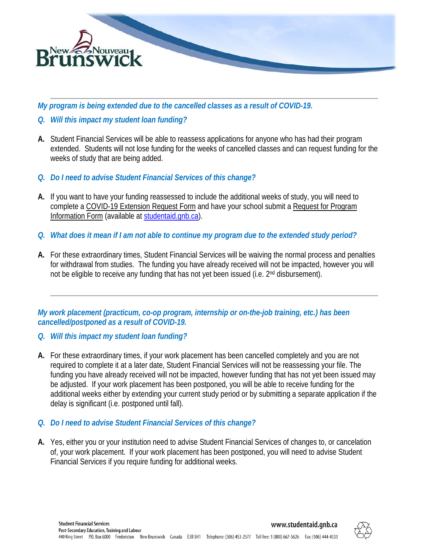

*My program is being extended due to the cancelled classes as a result of COVID-19.*

- *Q. Will this impact my student loan funding?*
- **A.** Student Financial Services will be able to reassess applications for anyone who has had their program extended. Students will not lose funding for the weeks of cancelled classes and can request funding for the weeks of study that are being added.
- *Q. Do I need to advise Student Financial Services of this change?*
- **A.** If you want to have your funding reassessed to include the additional weeks of study, you will need to complete a COVID-19 Extension Request Form and have your school submit a Request for Program Information Form (available at [studentaid.gnb.ca\)](http://www.studentaid.gnb.ca/).
- *Q. What does it mean if I am not able to continue my program due to the extended study period?*
- **A.** For these extraordinary times, Student Financial Services will be waiving the normal process and penalties for withdrawal from studies. The funding you have already received will not be impacted, however you will not be eligible to receive any funding that has not yet been issued (i.e. 2<sup>nd</sup> disbursement).

*My work placement (practicum, co-op program, internship or on-the-job training, etc.) has been cancelled/postponed as a result of COVID-19.*

- *Q. Will this impact my student loan funding?*
- **A.** For these extraordinary times, if your work placement has been cancelled completely and you are not required to complete it at a later date, Student Financial Services will not be reassessing your file. The funding you have already received will not be impacted, however funding that has not yet been issued may be adjusted. If your work placement has been postponed, you will be able to receive funding for the additional weeks either by extending your current study period or by submitting a separate application if the delay is significant (i.e. postponed until fall).
- *Q. Do I need to advise Student Financial Services of this change?*
- **A.** Yes, either you or your institution need to advise Student Financial Services of changes to, or cancelation of, your work placement. If your work placement has been postponed, you will need to advise Student Financial Services if you require funding for additional weeks.